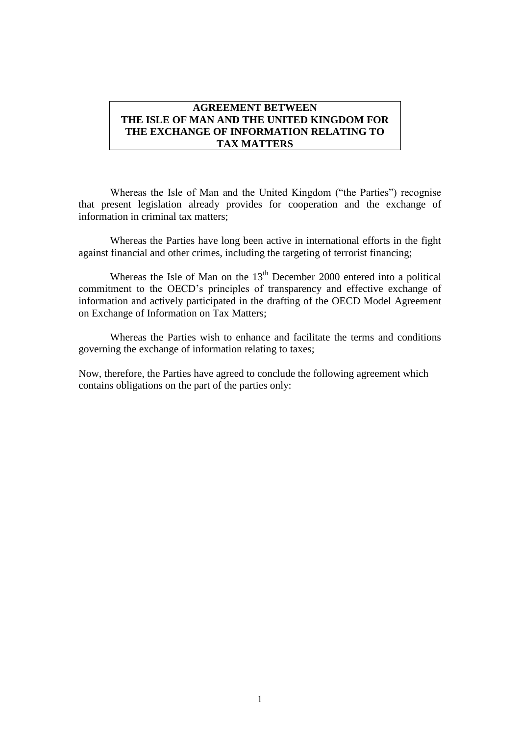### **AGREEMENT BETWEEN THE ISLE OF MAN AND THE UNITED KINGDOM FOR THE EXCHANGE OF INFORMATION RELATING TO TAX MATTERS**

Whereas the Isle of Man and the United Kingdom ("the Parties") recognise that present legislation already provides for cooperation and the exchange of information in criminal tax matters;

Whereas the Parties have long been active in international efforts in the fight against financial and other crimes, including the targeting of terrorist financing;

Whereas the Isle of Man on the  $13<sup>th</sup>$  December 2000 entered into a political commitment to the OECD's principles of transparency and effective exchange of information and actively participated in the drafting of the OECD Model Agreement on Exchange of Information on Tax Matters;

Whereas the Parties wish to enhance and facilitate the terms and conditions governing the exchange of information relating to taxes;

Now, therefore, the Parties have agreed to conclude the following agreement which contains obligations on the part of the parties only: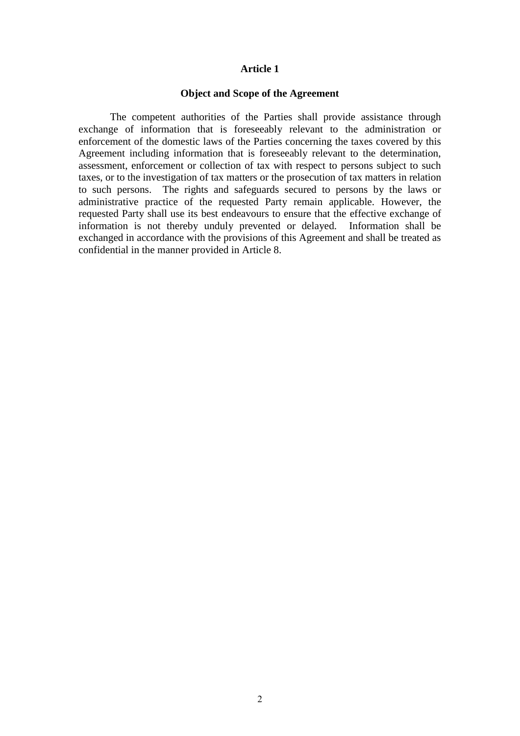#### **Object and Scope of the Agreement**

The competent authorities of the Parties shall provide assistance through exchange of information that is foreseeably relevant to the administration or enforcement of the domestic laws of the Parties concerning the taxes covered by this Agreement including information that is foreseeably relevant to the determination, assessment, enforcement or collection of tax with respect to persons subject to such taxes, or to the investigation of tax matters or the prosecution of tax matters in relation to such persons. The rights and safeguards secured to persons by the laws or administrative practice of the requested Party remain applicable. However, the requested Party shall use its best endeavours to ensure that the effective exchange of information is not thereby unduly prevented or delayed. Information shall be exchanged in accordance with the provisions of this Agreement and shall be treated as confidential in the manner provided in Article 8.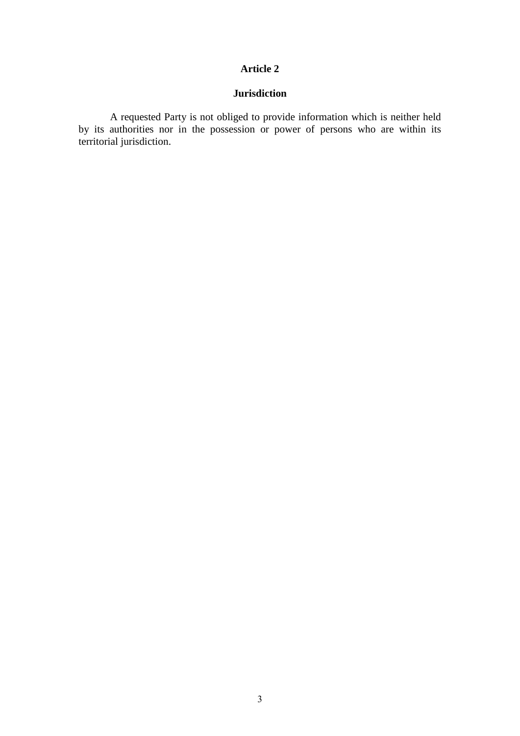# **Jurisdiction**

A requested Party is not obliged to provide information which is neither held by its authorities nor in the possession or power of persons who are within its territorial jurisdiction.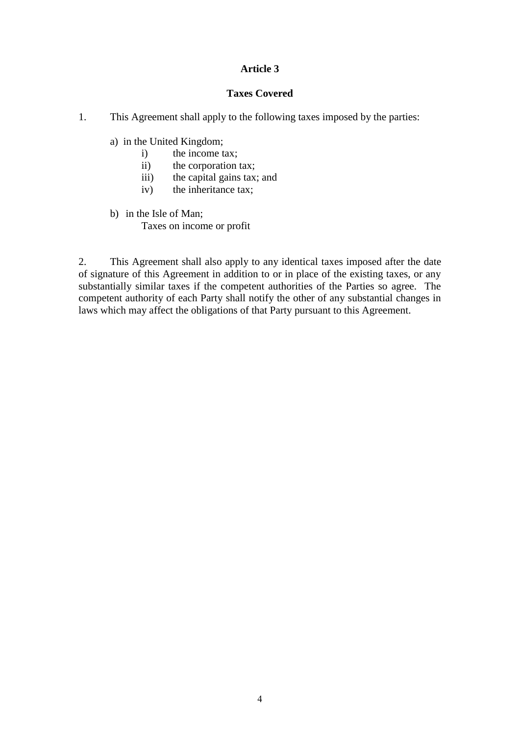## **Taxes Covered**

- 1. This Agreement shall apply to the following taxes imposed by the parties:
	- a) in the United Kingdom;
		- i) the income tax;
		- ii) the corporation tax;
		- iii) the capital gains tax; and
		- iv) the inheritance tax;
	- b) in the Isle of Man; Taxes on income or profit

2. This Agreement shall also apply to any identical taxes imposed after the date of signature of this Agreement in addition to or in place of the existing taxes, or any substantially similar taxes if the competent authorities of the Parties so agree. The competent authority of each Party shall notify the other of any substantial changes in laws which may affect the obligations of that Party pursuant to this Agreement.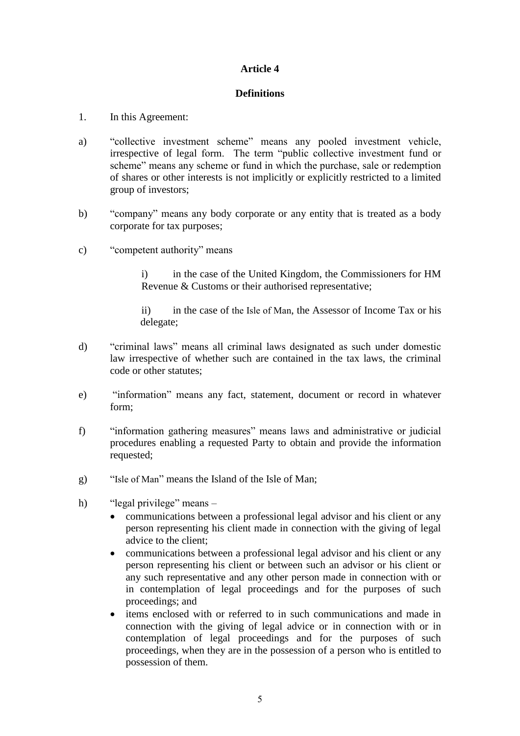## **Definitions**

- 1. In this Agreement:
- a) "collective investment scheme" means any pooled investment vehicle, irrespective of legal form. The term "public collective investment fund or scheme" means any scheme or fund in which the purchase, sale or redemption of shares or other interests is not implicitly or explicitly restricted to a limited group of investors;
- b) "company" means any body corporate or any entity that is treated as a body corporate for tax purposes;
- c) "competent authority" means

i) in the case of the United Kingdom, the Commissioners for HM Revenue & Customs or their authorised representative;

ii) in the case of the Isle of Man, the Assessor of Income Tax or his delegate;

- d) "criminal laws" means all criminal laws designated as such under domestic law irrespective of whether such are contained in the tax laws, the criminal code or other statutes;
- e) "information" means any fact, statement, document or record in whatever form;
- f) "information gathering measures" means laws and administrative or judicial procedures enabling a requested Party to obtain and provide the information requested;
- g) "Isle of Man" means the Island of the Isle of Man;
- h) "legal privilege" means
	- communications between a professional legal advisor and his client or any person representing his client made in connection with the giving of legal advice to the client;
	- communications between a professional legal advisor and his client or any person representing his client or between such an advisor or his client or any such representative and any other person made in connection with or in contemplation of legal proceedings and for the purposes of such proceedings; and
	- items enclosed with or referred to in such communications and made in connection with the giving of legal advice or in connection with or in contemplation of legal proceedings and for the purposes of such proceedings, when they are in the possession of a person who is entitled to possession of them.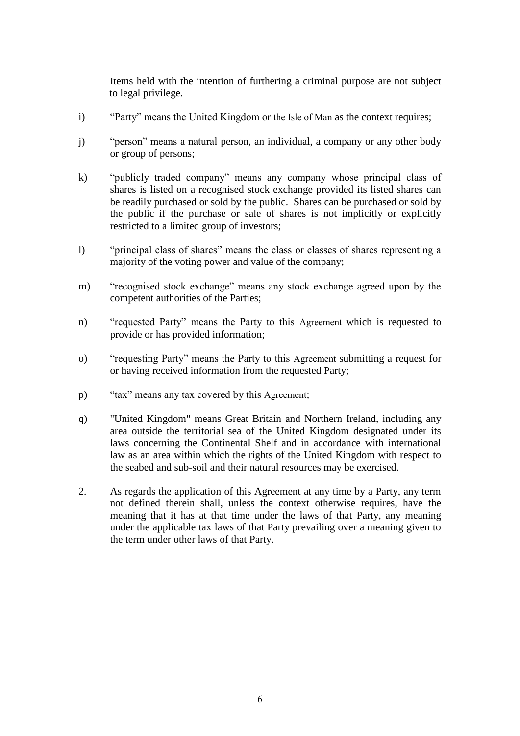Items held with the intention of furthering a criminal purpose are not subject to legal privilege.

- i) "Party" means the United Kingdom or the Isle of Man as the context requires;
- j) "person" means a natural person, an individual, a company or any other body or group of persons;
- k) "publicly traded company" means any company whose principal class of shares is listed on a recognised stock exchange provided its listed shares can be readily purchased or sold by the public. Shares can be purchased or sold by the public if the purchase or sale of shares is not implicitly or explicitly restricted to a limited group of investors;
- l) "principal class of shares" means the class or classes of shares representing a majority of the voting power and value of the company;
- m) "recognised stock exchange" means any stock exchange agreed upon by the competent authorities of the Parties;
- n) "requested Party" means the Party to this Agreement which is requested to provide or has provided information;
- o) "requesting Party" means the Party to this Agreement submitting a request for or having received information from the requested Party;
- p) "tax" means any tax covered by this Agreement;
- q) "United Kingdom" means Great Britain and Northern Ireland, including any area outside the territorial sea of the United Kingdom designated under its laws concerning the Continental Shelf and in accordance with international law as an area within which the rights of the United Kingdom with respect to the seabed and sub-soil and their natural resources may be exercised.
- 2. As regards the application of this Agreement at any time by a Party, any term not defined therein shall, unless the context otherwise requires, have the meaning that it has at that time under the laws of that Party, any meaning under the applicable tax laws of that Party prevailing over a meaning given to the term under other laws of that Party.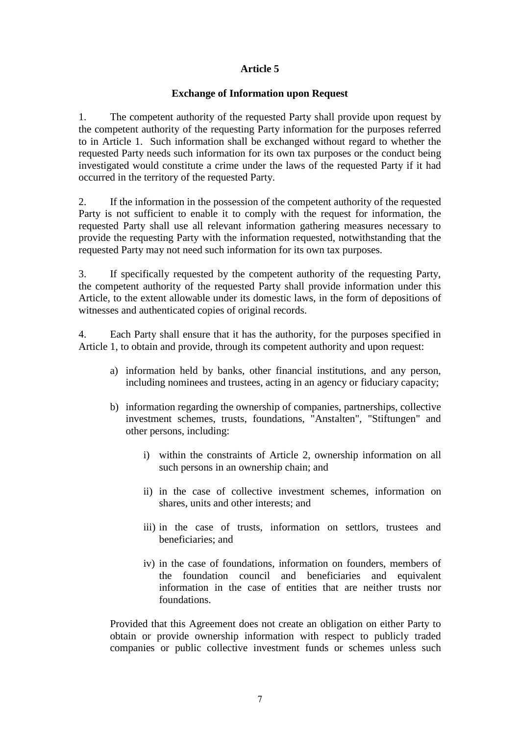### **Exchange of Information upon Request**

1. The competent authority of the requested Party shall provide upon request by the competent authority of the requesting Party information for the purposes referred to in Article 1. Such information shall be exchanged without regard to whether the requested Party needs such information for its own tax purposes or the conduct being investigated would constitute a crime under the laws of the requested Party if it had occurred in the territory of the requested Party.

2. If the information in the possession of the competent authority of the requested Party is not sufficient to enable it to comply with the request for information, the requested Party shall use all relevant information gathering measures necessary to provide the requesting Party with the information requested, notwithstanding that the requested Party may not need such information for its own tax purposes.

3. If specifically requested by the competent authority of the requesting Party, the competent authority of the requested Party shall provide information under this Article, to the extent allowable under its domestic laws, in the form of depositions of witnesses and authenticated copies of original records.

4. Each Party shall ensure that it has the authority, for the purposes specified in Article 1, to obtain and provide, through its competent authority and upon request:

- a) information held by banks, other financial institutions, and any person, including nominees and trustees, acting in an agency or fiduciary capacity;
- b) information regarding the ownership of companies, partnerships, collective investment schemes, trusts, foundations, "Anstalten", "Stiftungen" and other persons, including:
	- i) within the constraints of Article 2, ownership information on all such persons in an ownership chain; and
	- ii) in the case of collective investment schemes, information on shares, units and other interests; and
	- iii) in the case of trusts, information on settlors, trustees and beneficiaries; and
	- iv) in the case of foundations, information on founders, members of the foundation council and beneficiaries and equivalent information in the case of entities that are neither trusts nor foundations.

Provided that this Agreement does not create an obligation on either Party to obtain or provide ownership information with respect to publicly traded companies or public collective investment funds or schemes unless such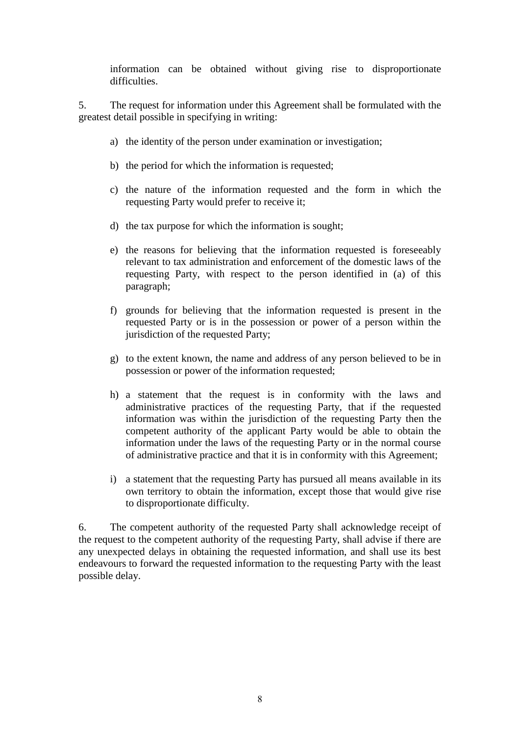information can be obtained without giving rise to disproportionate difficulties.

5. The request for information under this Agreement shall be formulated with the greatest detail possible in specifying in writing:

- a) the identity of the person under examination or investigation;
- b) the period for which the information is requested;
- c) the nature of the information requested and the form in which the requesting Party would prefer to receive it;
- d) the tax purpose for which the information is sought;
- e) the reasons for believing that the information requested is foreseeably relevant to tax administration and enforcement of the domestic laws of the requesting Party, with respect to the person identified in (a) of this paragraph;
- f) grounds for believing that the information requested is present in the requested Party or is in the possession or power of a person within the jurisdiction of the requested Party;
- g) to the extent known, the name and address of any person believed to be in possession or power of the information requested;
- h) a statement that the request is in conformity with the laws and administrative practices of the requesting Party, that if the requested information was within the jurisdiction of the requesting Party then the competent authority of the applicant Party would be able to obtain the information under the laws of the requesting Party or in the normal course of administrative practice and that it is in conformity with this Agreement;
- i) a statement that the requesting Party has pursued all means available in its own territory to obtain the information, except those that would give rise to disproportionate difficulty.

6. The competent authority of the requested Party shall acknowledge receipt of the request to the competent authority of the requesting Party, shall advise if there are any unexpected delays in obtaining the requested information, and shall use its best endeavours to forward the requested information to the requesting Party with the least possible delay.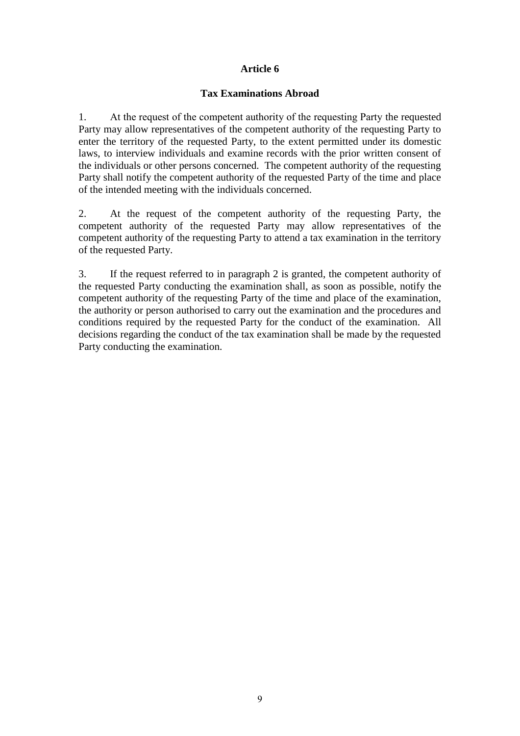#### **Tax Examinations Abroad**

1. At the request of the competent authority of the requesting Party the requested Party may allow representatives of the competent authority of the requesting Party to enter the territory of the requested Party, to the extent permitted under its domestic laws, to interview individuals and examine records with the prior written consent of the individuals or other persons concerned. The competent authority of the requesting Party shall notify the competent authority of the requested Party of the time and place of the intended meeting with the individuals concerned.

2. At the request of the competent authority of the requesting Party, the competent authority of the requested Party may allow representatives of the competent authority of the requesting Party to attend a tax examination in the territory of the requested Party.

3. If the request referred to in paragraph 2 is granted, the competent authority of the requested Party conducting the examination shall, as soon as possible, notify the competent authority of the requesting Party of the time and place of the examination, the authority or person authorised to carry out the examination and the procedures and conditions required by the requested Party for the conduct of the examination. All decisions regarding the conduct of the tax examination shall be made by the requested Party conducting the examination.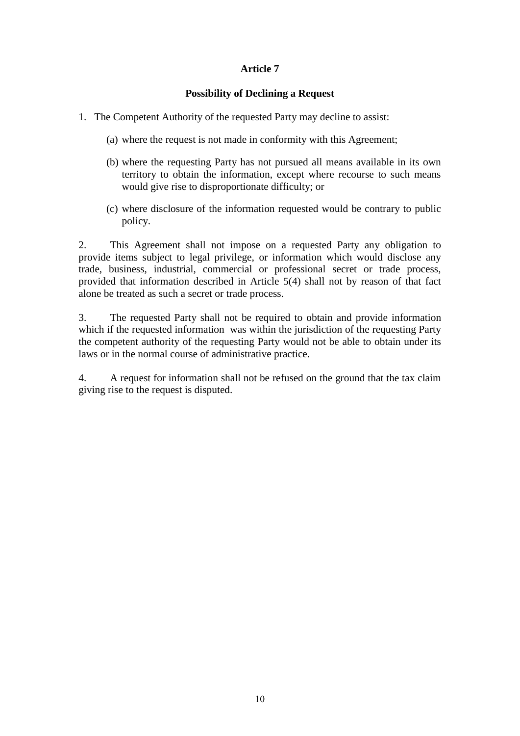#### **Possibility of Declining a Request**

- 1. The Competent Authority of the requested Party may decline to assist:
	- (a) where the request is not made in conformity with this Agreement;
	- (b) where the requesting Party has not pursued all means available in its own territory to obtain the information, except where recourse to such means would give rise to disproportionate difficulty; or
	- (c) where disclosure of the information requested would be contrary to public policy.

2. This Agreement shall not impose on a requested Party any obligation to provide items subject to legal privilege, or information which would disclose any trade, business, industrial, commercial or professional secret or trade process, provided that information described in Article 5(4) shall not by reason of that fact alone be treated as such a secret or trade process.

3. The requested Party shall not be required to obtain and provide information which if the requested information was within the jurisdiction of the requesting Party the competent authority of the requesting Party would not be able to obtain under its laws or in the normal course of administrative practice.

4. A request for information shall not be refused on the ground that the tax claim giving rise to the request is disputed.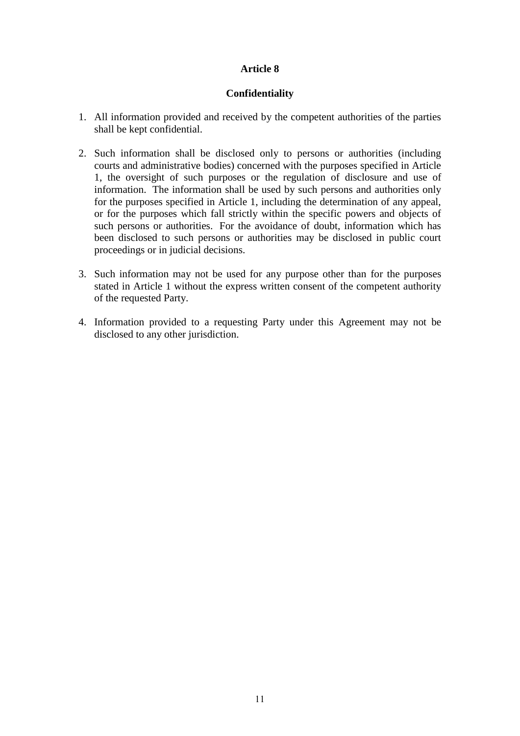### **Confidentiality**

- 1. All information provided and received by the competent authorities of the parties shall be kept confidential.
- 2. Such information shall be disclosed only to persons or authorities (including courts and administrative bodies) concerned with the purposes specified in Article 1, the oversight of such purposes or the regulation of disclosure and use of information. The information shall be used by such persons and authorities only for the purposes specified in Article 1, including the determination of any appeal, or for the purposes which fall strictly within the specific powers and objects of such persons or authorities. For the avoidance of doubt, information which has been disclosed to such persons or authorities may be disclosed in public court proceedings or in judicial decisions.
- 3. Such information may not be used for any purpose other than for the purposes stated in Article 1 without the express written consent of the competent authority of the requested Party.
- 4. Information provided to a requesting Party under this Agreement may not be disclosed to any other jurisdiction.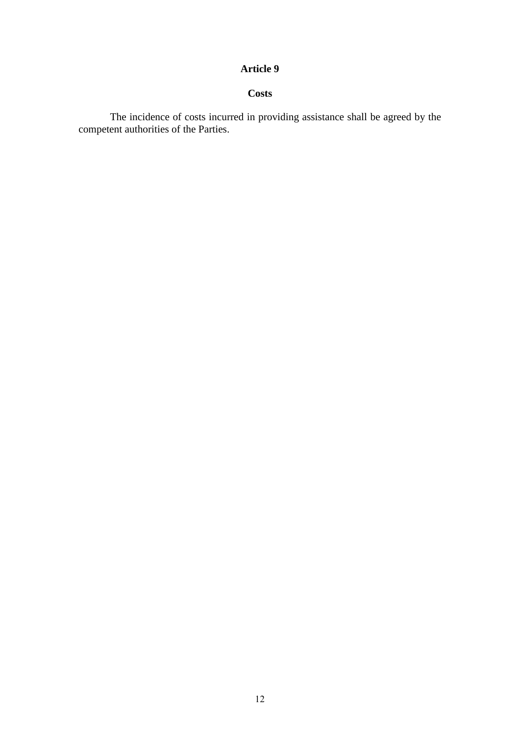# **Costs**

The incidence of costs incurred in providing assistance shall be agreed by the competent authorities of the Parties.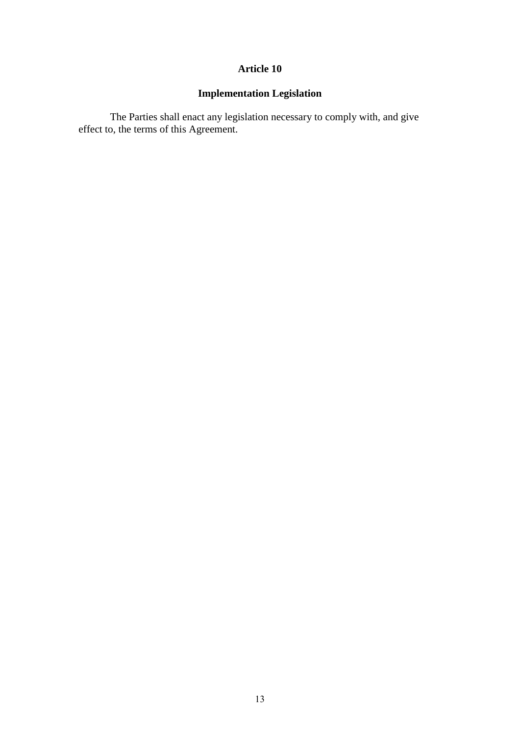# **Implementation Legislation**

The Parties shall enact any legislation necessary to comply with, and give effect to, the terms of this Agreement.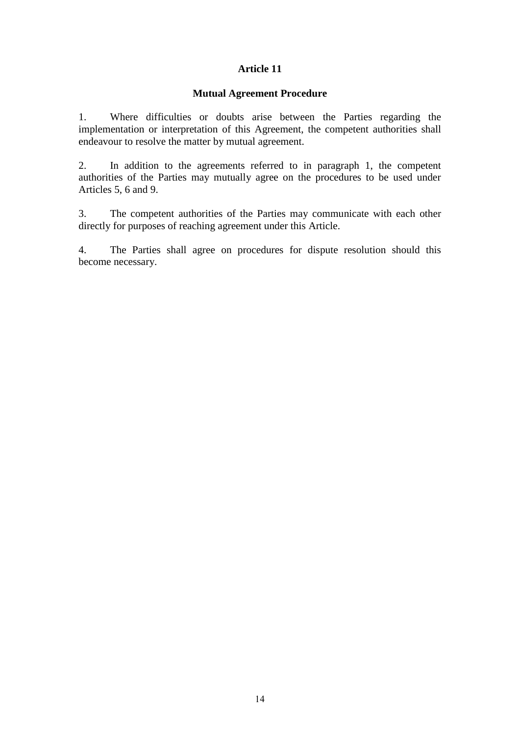#### **Mutual Agreement Procedure**

1. Where difficulties or doubts arise between the Parties regarding the implementation or interpretation of this Agreement, the competent authorities shall endeavour to resolve the matter by mutual agreement.

2. In addition to the agreements referred to in paragraph 1, the competent authorities of the Parties may mutually agree on the procedures to be used under Articles 5, 6 and 9.

3. The competent authorities of the Parties may communicate with each other directly for purposes of reaching agreement under this Article.

4. The Parties shall agree on procedures for dispute resolution should this become necessary.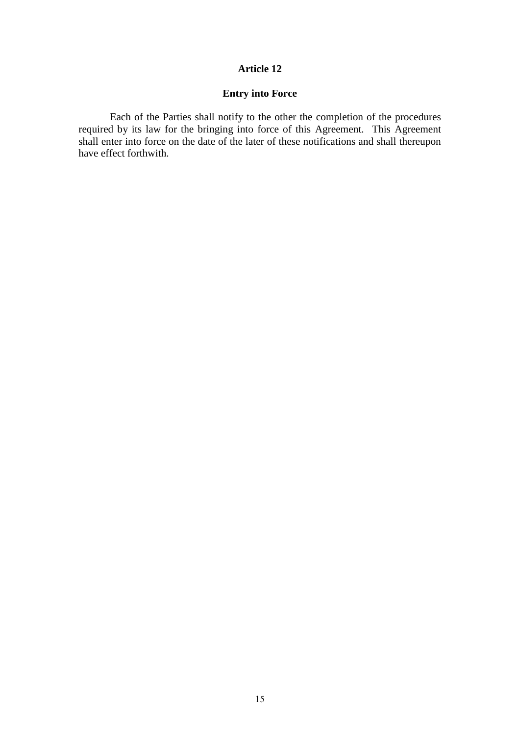# **Entry into Force**

Each of the Parties shall notify to the other the completion of the procedures required by its law for the bringing into force of this Agreement. This Agreement shall enter into force on the date of the later of these notifications and shall thereupon have effect forthwith.